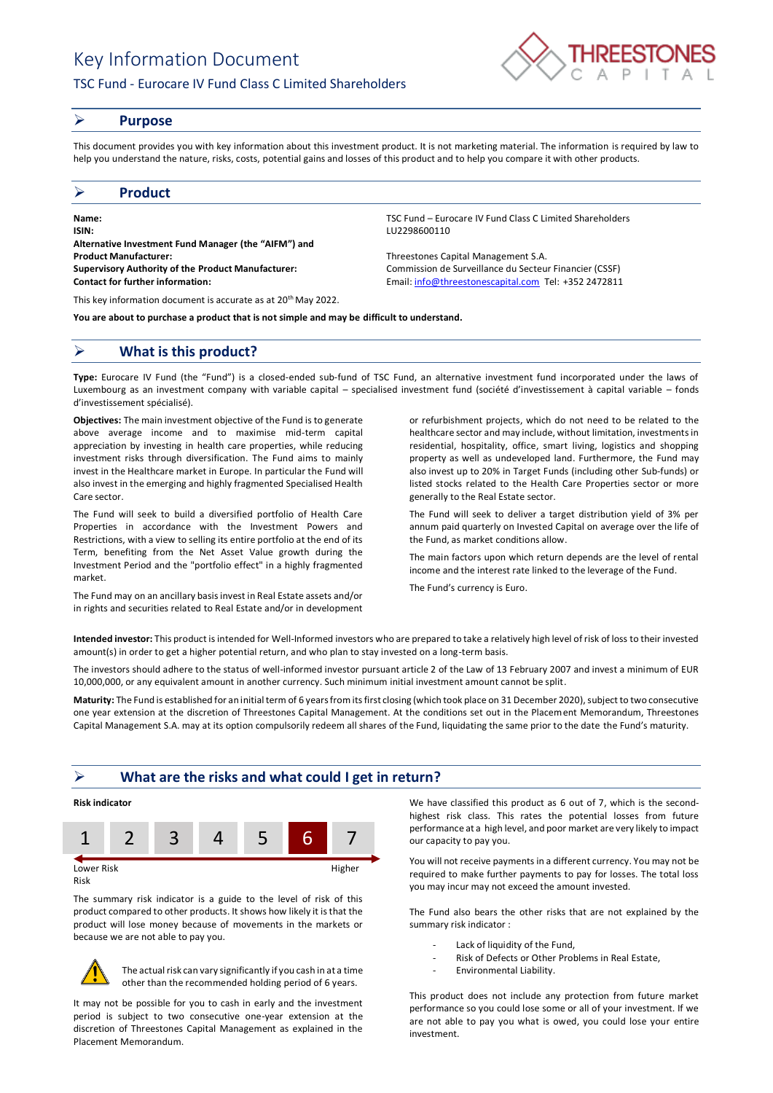# Key Information Document

## TSC Fund - Eurocare IV Fund Class C Limited Shareholders



#### ➢ **Purpose**

This document provides you with key information about this investment product. It is not marketing material. The information is required by law to help you understand the nature, risks, costs, potential gains and losses of this product and to help you compare it with other products.

#### ➢ **Product**

**Name:** TSC Fund – Eurocare IV Fund Class C Limited Shareholders **ISIN:** LU2298600110 **Alternative Investment Fund Manager (the "AIFM") and Product Manufacturer:** Threestones Capital Management S.A. **Supervisory Authority of the Product Manufacturer:** Commission de Surveillance du Secteur Financier (CSSF) **Contact for further information:** Email[: info@threestonescapital.com](mailto:info@threestonescapital.com) Tel: +352 2472811

This key information document is accurate as at 20th May 2022.

**You are about to purchase a product that is not simple and may be difficult to understand.**

## ➢ **What is this product?**

**Type:** Eurocare IV Fund (the "Fund") is a closed-ended sub-fund of TSC Fund, an alternative investment fund incorporated under the laws of Luxembourg as an investment company with variable capital – specialised investment fund (société d'investissement à capital variable – fonds d'investissement spécialisé).

**Objectives:** The main investment objective of the Fund is to generate above average income and to maximise mid-term capital appreciation by investing in health care properties, while reducing investment risks through diversification. The Fund aims to mainly invest in the Healthcare market in Europe. In particular the Fund will also invest in the emerging and highly fragmented Specialised Health Care sector.

The Fund will seek to build a diversified portfolio of Health Care Properties in accordance with the Investment Powers and Restrictions, with a view to selling its entire portfolio at the end of its Term, benefiting from the Net Asset Value growth during the Investment Period and the "portfolio effect" in a highly fragmented market.

The Fund may on an ancillary basis invest in Real Estate assets and/or in rights and securities related to Real Estate and/or in development

or refurbishment projects, which do not need to be related to the healthcare sector and may include, without limitation, investments in residential, hospitality, office, smart living, logistics and shopping property as well as undeveloped land. Furthermore, the Fund may also invest up to 20% in Target Funds (including other Sub-funds) or listed stocks related to the Health Care Properties sector or more generally to the Real Estate sector.

The Fund will seek to deliver a target distribution yield of 3% per annum paid quarterly on Invested Capital on average over the life of the Fund, as market conditions allow.

The main factors upon which return depends are the level of rental income and the interest rate linked to the leverage of the Fund.

The Fund's currency is Euro.

**Intended investor:** This product is intended for Well-Informed investors who are prepared to take a relatively high level of risk of loss to their invested amount(s) in order to get a higher potential return, and who plan to stay invested on a long-term basis.

The investors should adhere to the status of well-informed investor pursuant article 2 of the Law of 13 February 2007 and invest a minimum of EUR 10,000,000, or any equivalent amount in another currency. Such minimum initial investment amount cannot be split.

**Maturity:** The Fund is established for an initial term of 6 years from its first closing (which took place on 31 December 2020), subject to two consecutive one year extension at the discretion of Threestones Capital Management. At the conditions set out in the Placement Memorandum, Threestones Capital Management S.A. may at its option compulsorily redeem all shares of the Fund, liquidating the same prior to the date the Fund's maturity.

#### ➢ **What are the risks and what could I get in return?**



Risk

The summary risk indicator is a guide to the level of risk of this product compared to other products. It shows how likely it is that the product will lose money because of movements in the markets or because we are not able to pay you.



The actual risk can vary significantly if you cash in at a time other than the recommended holding period of 6 years.

It may not be possible for you to cash in early and the investment period is subject to two consecutive one-year extension at the discretion of Threestones Capital Management as explained in the Placement Memorandum.

We have classified this product as 6 out of 7, which is the secondhighest risk class. This rates the potential losses from future performance at a high level, and poor market are very likely to impact our capacity to pay you.

You will not receive payments in a different currency. You may not be required to make further payments to pay for losses. The total loss you may incur may not exceed the amount invested.

The Fund also bears the other risks that are not explained by the summary risk indicator :

- Lack of liquidity of the Fund,
- Risk of Defects or Other Problems in Real Estate,
- Environmental Liability.

This product does not include any protection from future market performance so you could lose some or all of your investment. If we are not able to pay you what is owed, you could lose your entire investment.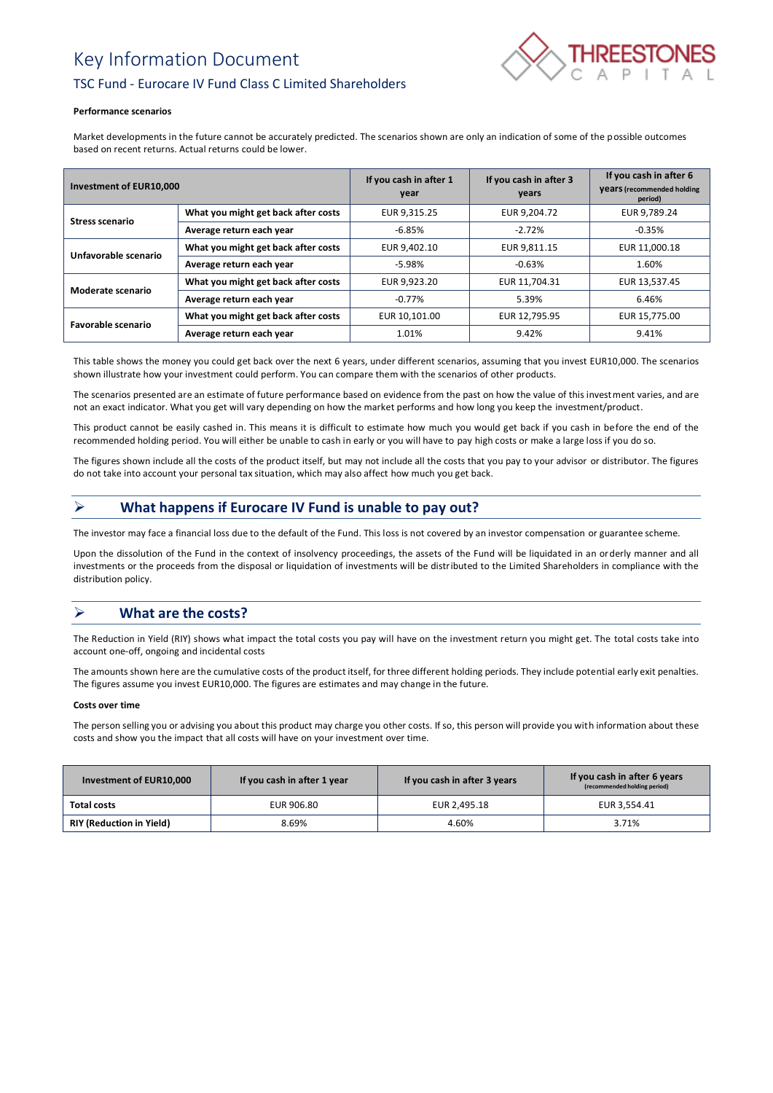## Key Information Document



## TSC Fund - Eurocare IV Fund Class C Limited Shareholders

#### **Performance scenarios**

Market developments in the future cannot be accurately predicted. The scenarios shown are only an indication of some of the possible outcomes based on recent returns. Actual returns could be lower.

| <b>Investment of EUR10.000</b> |                                     | If you cash in after 1<br>year | If you cash in after 3<br>years | If you cash in after 6<br><b>Vears</b> (recommended holding<br>period) |
|--------------------------------|-------------------------------------|--------------------------------|---------------------------------|------------------------------------------------------------------------|
| <b>Stress scenario</b>         | What you might get back after costs | EUR 9.315.25                   | EUR 9.204.72                    | EUR 9.789.24                                                           |
|                                | Average return each year            | $-6.85%$                       | $-2.72%$                        | $-0.35%$                                                               |
| Unfavorable scenario           | What you might get back after costs | EUR 9,402.10                   | EUR 9.811.15                    | EUR 11,000.18                                                          |
|                                | Average return each year            | -5.98%                         | $-0.63%$                        | 1.60%                                                                  |
| Moderate scenario              | What you might get back after costs | EUR 9.923.20                   | EUR 11,704.31                   | EUR 13,537.45                                                          |
|                                | Average return each year            | $-0.77\%$                      | 5.39%                           | 6.46%                                                                  |
| Favorable scenario             | What you might get back after costs | EUR 10.101.00                  | EUR 12,795.95                   | EUR 15,775.00                                                          |
|                                | Average return each year            | 1.01%                          | 9.42%                           | 9.41%                                                                  |

This table shows the money you could get back over the next 6 years, under different scenarios, assuming that you invest EUR10,000. The scenarios shown illustrate how your investment could perform. You can compare them with the scenarios of other products.

The scenarios presented are an estimate of future performance based on evidence from the past on how the value of this investment varies, and are not an exact indicator. What you get will vary depending on how the market performs and how long you keep the investment/product.

This product cannot be easily cashed in. This means it is difficult to estimate how much you would get back if you cash in before the end of the recommended holding period. You will either be unable to cash in early or you will have to pay high costs or make a large loss if you do so.

The figures shown include all the costs of the product itself, but may not include all the costs that you pay to your advisor or distributor. The figures do not take into account your personal tax situation, which may also affect how much you get back.

## ➢ **What happens if Eurocare IV Fund is unable to pay out?**

The investor may face a financial loss due to the default of the Fund. This loss is not covered by an investor compensation or guarantee scheme.

Upon the dissolution of the Fund in the context of insolvency proceedings, the assets of the Fund will be liquidated in an orderly manner and all investments or the proceeds from the disposal or liquidation of investments will be distributed to the Limited Shareholders in compliance with the distribution policy.

## ➢ **What are the costs?**

The Reduction in Yield (RIY) shows what impact the total costs you pay will have on the investment return you might get. The total costs take into account one-off, ongoing and incidental costs

The amounts shown here are the cumulative costs of the product itself, for three different holding periods. They include potential early exit penalties. The figures assume you invest EUR10,000. The figures are estimates and may change in the future.

#### **Costs over time**

The person selling you or advising you about this product may charge you other costs. If so, this person will provide you with information about these costs and show you the impact that all costs will have on your investment over time.

| Investment of EUR10,000         | If you cash in after 1 year | If you cash in after 3 years | If you cash in after 6 years<br>(recommended holding period) |
|---------------------------------|-----------------------------|------------------------------|--------------------------------------------------------------|
| Total costs                     | EUR 906.80                  | EUR 2.495.18                 | EUR 3.554.41                                                 |
| <b>RIY (Reduction in Yield)</b> | 8.69%                       | 4.60%                        | 3.71%                                                        |